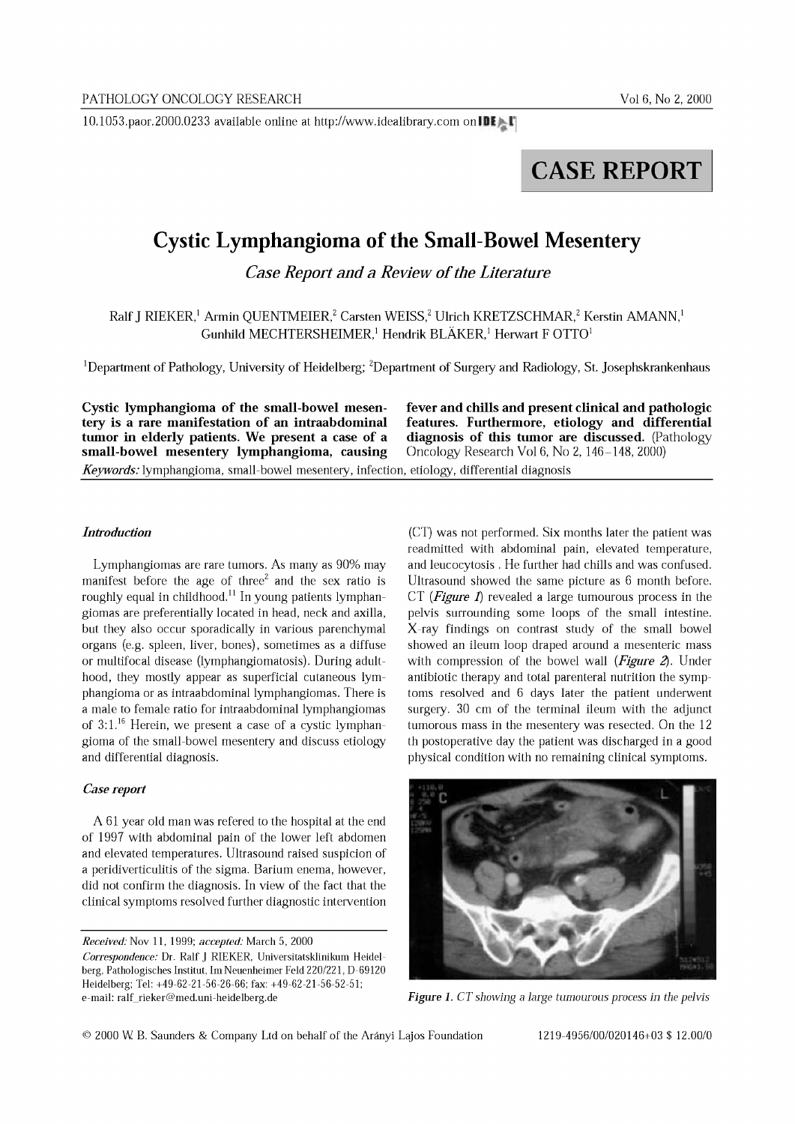lO.l053.paor.2000.0233 available online at http://www.idealibrary.com on IDI'~1

# CASE REPORT

# **Cystic Lymphangioma** of the **Small-Bowel Mesentery**

*Case Report and a Review of the Literature* 

Ralf J RIEKER,<sup>1</sup> Armin QUENTMEIER,<sup>2</sup> Carsten WEISS,<sup>2</sup> Ulrich KRETZSCHMAR,<sup>2</sup> Kerstin AMANN,<sup>1</sup> Gunhild MECHTERSHEIMER,<sup>1</sup> Hendrik BLÄKER,<sup>1</sup> Herwart F OTTO<sup>1</sup>

<sup>1</sup>Department of Pathology, University of Heidelberg; <sup>2</sup>Department of Surgery and Radiology, St. Josephskrankenhaus

Cystic lymphangioma of the small-bowel mesen- fever and chills and present clinical and pathologic tery is a rare manifestation of an intraabdominal features. Furthermore, etiology and differential<br>tumor in elderly patients. We present a case of a diagnosis of this tumor are discussed. (Pathology tumor in elderly patients. We present a case of a diagnosis of this tumor are discussed. (Passenal expanding the small-bowel mesentery lymphangioma, causing  $Oncology Research Vol 6, No 2, 146-148, 2000$ small-bowel mesentery lymphangioma, causing *Keywords:* lymphangioma, small-bowel mesentery, infection, etiology, differential diagnosis

### *Introduction*

Lymphangiomas are rare tumors. As many as 90% may manifest before the age of three<sup>2</sup> and the sex ratio is roughly equal in childhood.<sup>11</sup> In young patients lymphangiomas are preferentially located in head, neck and axilla, but they also occur sporadically in various parenchymal organs (e.g. spleen, liver, bones), sometimes as a diffuse or multifocal disease (lymphangiomatosis). During adulthood, they mostly appear as superficial cutaneous lymphangioma or as intraabdominal lymphangiomas. There is a male to female ratio for intraabdominal lymphangiomas of  $3:1.^{16}$  Herein, we present a case of a cystic lymphangioma of the small-bowel mesentery and discuss etiology and differential diagnosis.

# *Case report*

A 61 year old man was refered to the hospital at the end of 1997 with abdominal pain of the lower left abdomen and elevated temperatures. Ultrasound raised suspicion of a peridiverticulitis of the sigma. Barium enema, however, did not confirm the diagnosis. In view of the fact that the clinical symptoms resolved further diagnostic intervention

*Received.'* Nov 11, 1999: *accepted:* March 5, 2000

(CT) was not performed. Six months later the patient was readmitted with abdominal pain, elevated temperature, and leucocytosis. He further had chills and was confused. Ultrasound showed the same picture as 6 month before. CT *(Figure* 1) revealed a large tumourous process in the pelvis surrounding some loops of the small intestine. X-ray findings on contrast study of the small bowel showed an ileum loop draped around a mesenteric mass with compression of the bowel wall *(Figure* 2). Under antibiotic therapy and total parenteral nutrition the symptoms resolved and 6 days later the patient underwent surgery. 30 cm of the terminal ileum with the adjunct tumorous mass in the mesentery was resected. On the 12 th postoperative day the patient was discharged in a good physical condition with no remaining clinical symptoms.



*Figure* 1. *CT showing* a *large tumourous process in the pelvis*

*Correspondence:* Dr. RalfJ RIEKER, Universitatsklinikum Heidelberg, Pathologisches Institut, 1m Neuenheimer Feld 220/221, D-69120 Heidelberg; Tel; +49-62-21-56-26-66; fax; +49-62-21-56-52-51; e-mail: ralf\_rieker@med.uni-heidelberg.de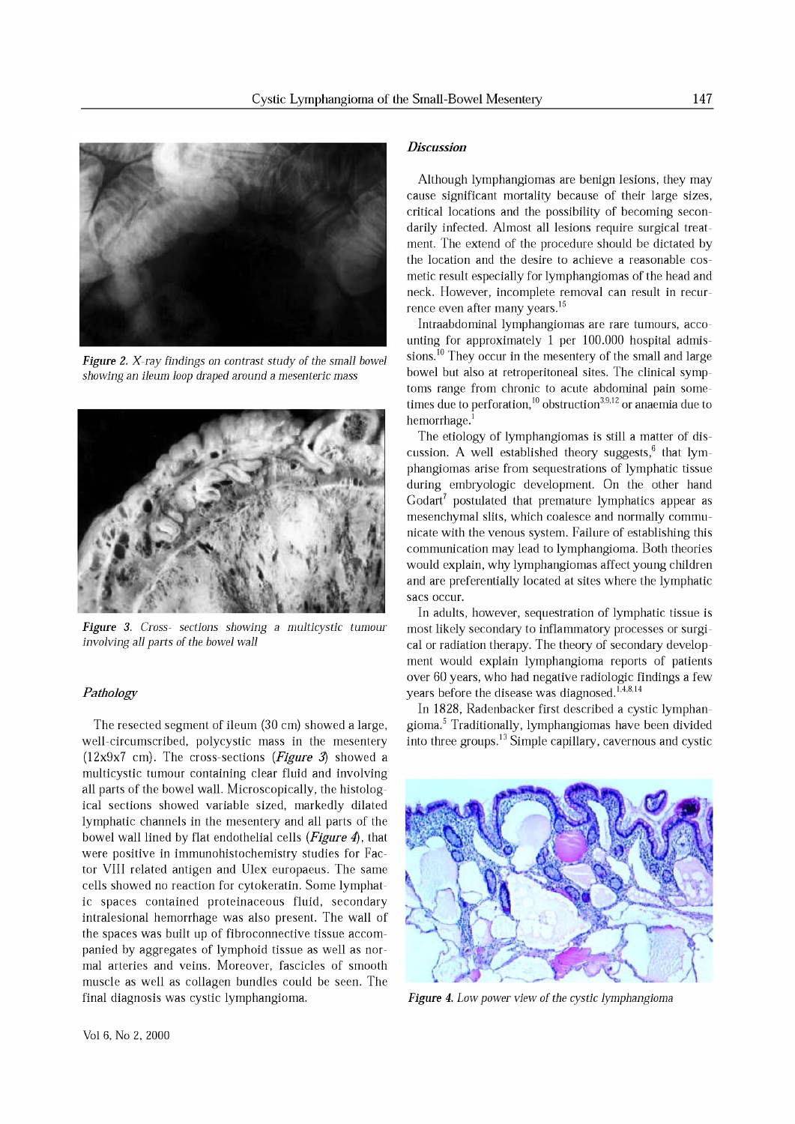

*Figure* 2. *X-ray findings on contrast study* of *the small bowel showing an ileum loop draped around* a *mesenteric mass*



*Figure* 3. *Cross- sections showing* a *multicystic tumour involving all parts* of *the bowel wall*

# *Pathology*

The resected segment of ileum (30 em) showed a large, well-circumscribed, polycystic mass in the mesentery (12x9x7 em). The cross-sections *(Figure* 3) showed a multicystic tumour containing clear fluid and involving all parts of the bowel wall. Microscopically, the histological sections showed variable sized, markedly dilated lymphatic channels in the mesentery and all parts of the bowel wall lined by flat endothelial cells *(Figure* 4), that were positive in immunohistochemistry studies for Factor VIII related antigen and Ulex europaeus. The same cells showed no reaction for cytokeratin. Some lymphatic spaces contained proteinaceous fluid, secondary intralesional hemorrhage was also present. The wall of the spaces was built up of fibroconnective tissue accompanied by aggregates of lymphoid tissue as well as normal arteries and veins. Moreover, fascicles of smooth muscle as well as collagen bundles could be seen. The final diagnosis was cystic lymphangioma.

### *Discussion*

Although lymphangiomas are benign lesions, they may cause significant mortality because of their large sizes, critical locations and the possibility of becoming secondarily infected. Almost all lesions require surgical treatment. The extend of the procedure should be dictated by the location and the desire to achieve a reasonable cosmetic result especially for lymphangiomas of the head and neck. However, incomplete removal can result in recurrence even after many years.<sup>15</sup>

Intraabdominal lymphangiomas are rare tumours, accounting for approximately 1 per 100.000 hospital admissions.<sup>10</sup> They occur in the mesentery of the small and large bowel but also at retroperitoneal sites. The clinical symptoms range from chronic to acute abdominal pain sometimes due to perforation,<sup>10</sup> obstruction<sup>3,9,12</sup> or anaemia due to hemorrhage.<sup>1</sup>

The etiology of lymphangiomas is still a matter of discussion. A well established theory suggests,<sup>6</sup> that lymphangiomas arise from sequestrations of lymphatic tissue during embryologic development. On the other hand  $Godart<sup>7</sup>$  postulated that premature lymphatics appear as mesenchymal slits, which coalesce and normally communicate with the venous system. Failure of establishing this communication may lead to lymphangioma. Both theories would explain, why lymphangiomas affect young children and are preferentially located at sites where the lymphatic sacs occur.

In adults, however, sequestration of lymphatic tissue is most likely secondary to inflammatory processes or surgical or radiation therapy. The theory of secondary development would explain lymphangioma reports of patients over 60 years, who had negative radiologic findings a few years before the disease was diagnosed. $^{1,4,8,14}$ 

In 1828, Radenbacker first described a cystic lymphangioma.<sup>5</sup> Traditionally, lymphangiomas have been divided into three groups. $^{13}$  Simple capillary, cavernous and cystic



*Figure* 4. *Low power view* of *the cystic lymphangioma*